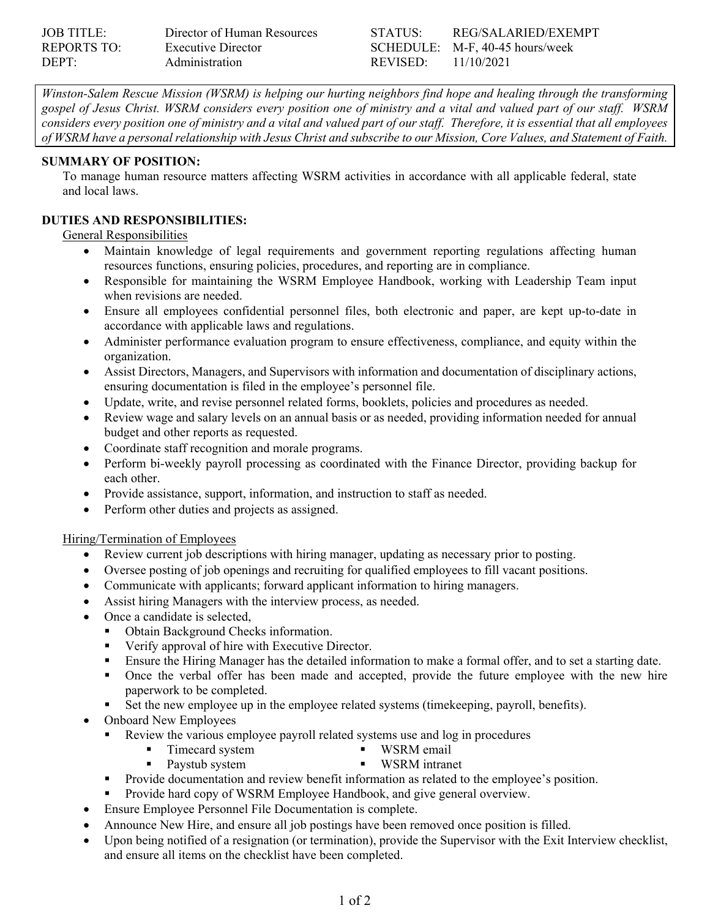| <b>JOB TITLE:</b> | Director of Human Resources | STATUSE              | REG/SALARIED/EXEMPT             |
|-------------------|-----------------------------|----------------------|---------------------------------|
| REPORTS TO:       | Executive Director          |                      | SCHEDULE: M-F, 40-45 hours/week |
| DEPT:             | Administration              | REVISED <sup>.</sup> | 11/10/2021                      |

*Winston-Salem Rescue Mission (WSRM) is helping our hurting neighbors find hope and healing through the transforming gospel of Jesus Christ. WSRM considers every position one of ministry and a vital and valued part of our staff. WSRM considers every position one of ministry and a vital and valued part of our staff. Therefore, it is essential that all employees of WSRM have a personal relationship with Jesus Christ and subscribe to our Mission, Core Values, and Statement of Faith.* 

#### **SUMMARY OF POSITION:**

To manage human resource matters affecting WSRM activities in accordance with all applicable federal, state and local laws.

### **DUTIES AND RESPONSIBILITIES:**

General Responsibilities

- Maintain knowledge of legal requirements and government reporting regulations affecting human resources functions, ensuring policies, procedures, and reporting are in compliance.
- Responsible for maintaining the WSRM Employee Handbook, working with Leadership Team input when revisions are needed.
- Ensure all employees confidential personnel files, both electronic and paper, are kept up-to-date in accordance with applicable laws and regulations.
- Administer performance evaluation program to ensure effectiveness, compliance, and equity within the organization.
- Assist Directors, Managers, and Supervisors with information and documentation of disciplinary actions, ensuring documentation is filed in the employee's personnel file.
- Update, write, and revise personnel related forms, booklets, policies and procedures as needed.
- Review wage and salary levels on an annual basis or as needed, providing information needed for annual budget and other reports as requested.
- Coordinate staff recognition and morale programs.
- Perform bi-weekly payroll processing as coordinated with the Finance Director, providing backup for each other.
- Provide assistance, support, information, and instruction to staff as needed.
- Perform other duties and projects as assigned.

### Hiring/Termination of Employees

- Review current job descriptions with hiring manager, updating as necessary prior to posting.
- Oversee posting of job openings and recruiting for qualified employees to fill vacant positions.
- Communicate with applicants; forward applicant information to hiring managers.
- Assist hiring Managers with the interview process, as needed.
- Once a candidate is selected,
	- Obtain Background Checks information.
	- Verify approval of hire with Executive Director.
	- Ensure the Hiring Manager has the detailed information to make a formal offer, and to set a starting date.
	- Once the verbal offer has been made and accepted, provide the future employee with the new hire paperwork to be completed.
	- Set the new employee up in the employee related systems (timekeeping, payroll, benefits).
- Onboard New Employees
	- Review the various employee payroll related systems use and log in procedures
		- Timecard system WSRM email
			- **WIGHT** WIGHT
	- Paystub system Provide documentation and review benefit information as related to the employee's position.
	- Provide hard copy of WSRM Employee Handbook, and give general overview.
- Ensure Employee Personnel File Documentation is complete.
- Announce New Hire, and ensure all job postings have been removed once position is filled.
- Upon being notified of a resignation (or termination), provide the Supervisor with the Exit Interview checklist, and ensure all items on the checklist have been completed.